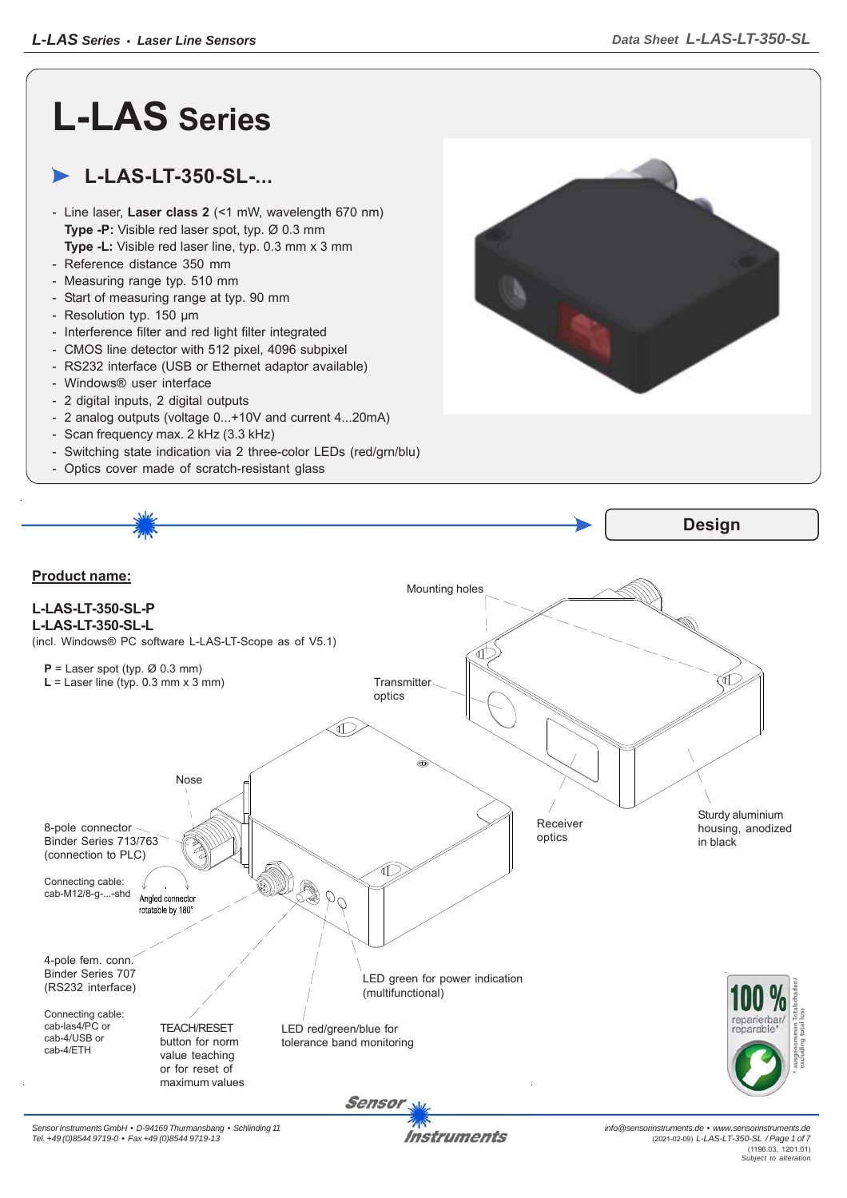## **L-LAS Series**

## **L-LAS-LT-350-SL-...**

- Line laser, **Laser class 2** (<1 mW, wavelength 670 nm) **Type -P:** Visible red laser spot, typ. Ø 0.3 mm **Type -L:** Visible red laser line, typ. 0.3 mm x 3 mm
- Reference distance 350 mm
- Measuring range typ. 510 mm
- Start of measuring range at typ. 90 mm
- Resolution typ. 150 μm
- Interference filter and red light filter integrated
- CMOS line detector with 512 pixel, 4096 subpixel
- RS232 interface (USB or Ethernet adaptor available)
- Windows® user interface
- 2 digital inputs, 2 digital outputs
- 2 analog outputs (voltage 0...+10V and current 4...20mA)
- Scan frequency max. 2 kHz (3.3 kHz)
- Switching state indication via 2 three-color LEDs (red/grn/blu)
- Optics cover made of scratch-resistant glass



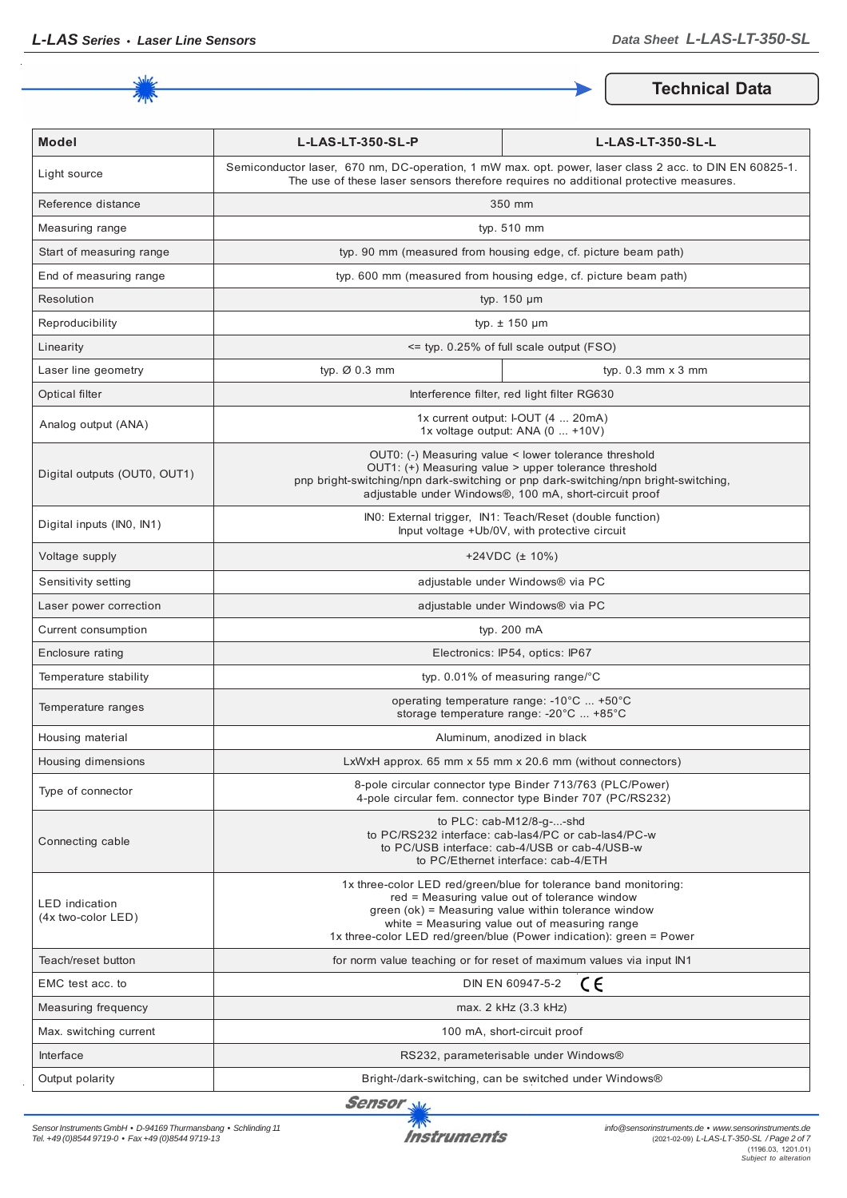

**Technical Data**

| <b>Model</b>                                | L-LAS-LT-350-SL-P                                                                                                                                                                                                                                                                                  | L-LAS-LT-350-SL-L                                                                                                      |
|---------------------------------------------|----------------------------------------------------------------------------------------------------------------------------------------------------------------------------------------------------------------------------------------------------------------------------------------------------|------------------------------------------------------------------------------------------------------------------------|
| Light source                                | Semiconductor laser, 670 nm, DC-operation, 1 mW max. opt. power, laser class 2 acc. to DIN EN 60825-1.<br>The use of these laser sensors therefore requires no additional protective measures.                                                                                                     |                                                                                                                        |
| Reference distance                          | 350 mm                                                                                                                                                                                                                                                                                             |                                                                                                                        |
| Measuring range                             | typ. 510 mm                                                                                                                                                                                                                                                                                        |                                                                                                                        |
| Start of measuring range                    | typ. 90 mm (measured from housing edge, cf. picture beam path)                                                                                                                                                                                                                                     |                                                                                                                        |
| End of measuring range                      | typ. 600 mm (measured from housing edge, cf. picture beam path)                                                                                                                                                                                                                                    |                                                                                                                        |
| Resolution                                  | typ. $150 \mu m$                                                                                                                                                                                                                                                                                   |                                                                                                                        |
| Reproducibility                             | typ. $\pm$ 150 µm                                                                                                                                                                                                                                                                                  |                                                                                                                        |
| Linearity                                   | <= typ. 0.25% of full scale output (FSO)                                                                                                                                                                                                                                                           |                                                                                                                        |
| Laser line geometry                         | typ. Ø 0.3 mm                                                                                                                                                                                                                                                                                      | typ. $0.3$ mm $\times$ 3 mm                                                                                            |
| Optical filter                              |                                                                                                                                                                                                                                                                                                    | Interference filter, red light filter RG630                                                                            |
| Analog output (ANA)                         | 1x current output: I-OUT (4  20mA)<br>1x voltage output: ANA (0  +10V)                                                                                                                                                                                                                             |                                                                                                                        |
| Digital outputs (OUT0, OUT1)                | OUT0: (-) Measuring value < lower tolerance threshold<br>OUT1: (+) Measuring value > upper tolerance threshold<br>pnp bright-switching/npn dark-switching or pnp dark-switching/npn bright-switching,<br>adjustable under Windows®, 100 mA, short-circuit proof                                    |                                                                                                                        |
| Digital inputs (INO, IN1)                   | INO: External trigger, IN1: Teach/Reset (double function)<br>Input voltage +Ub/0V, with protective circuit                                                                                                                                                                                         |                                                                                                                        |
| Voltage supply                              | $+24VDC$ ( $\pm$ 10%)                                                                                                                                                                                                                                                                              |                                                                                                                        |
| Sensitivity setting                         | adjustable under Windows® via PC                                                                                                                                                                                                                                                                   |                                                                                                                        |
| Laser power correction                      | adjustable under Windows® via PC                                                                                                                                                                                                                                                                   |                                                                                                                        |
| Current consumption                         | typ. 200 mA                                                                                                                                                                                                                                                                                        |                                                                                                                        |
| Enclosure rating                            | Electronics: IP54, optics: IP67                                                                                                                                                                                                                                                                    |                                                                                                                        |
| Temperature stability                       | typ. $0.01\%$ of measuring range/°C                                                                                                                                                                                                                                                                |                                                                                                                        |
| Temperature ranges                          | operating temperature range: -10°C  +50°C<br>storage temperature range: -20°C  +85°C                                                                                                                                                                                                               |                                                                                                                        |
| Housing material                            | Aluminum, anodized in black                                                                                                                                                                                                                                                                        |                                                                                                                        |
| Housing dimensions                          | LxWxH approx. 65 mm x 55 mm x 20.6 mm (without connectors)                                                                                                                                                                                                                                         |                                                                                                                        |
| Type of connector                           |                                                                                                                                                                                                                                                                                                    | 8-pole circular connector type Binder 713/763 (PLC/Power)<br>4-pole circular fem. connector type Binder 707 (PC/RS232) |
| Connecting cable                            | to $PLC: cab-M12/8-g--shd$<br>to PC/RS232 interface: cab-las4/PC or cab-las4/PC-w<br>to PC/USB interface: cab-4/USB or cab-4/USB-w<br>to PC/Ethernet interface: cab-4/ETH                                                                                                                          |                                                                                                                        |
| <b>LED</b> indication<br>(4x two-color LED) | 1x three-color LED red/green/blue for tolerance band monitoring:<br>red = Measuring value out of tolerance window<br>green (ok) = Measuring value within tolerance window<br>white = Measuring value out of measuring range<br>1x three-color LED red/green/blue (Power indication): green = Power |                                                                                                                        |
| Teach/reset button                          | for norm value teaching or for reset of maximum values via input IN1                                                                                                                                                                                                                               |                                                                                                                        |
| EMC test acc. to                            | ce<br>DIN EN 60947-5-2                                                                                                                                                                                                                                                                             |                                                                                                                        |
| Measuring frequency                         | max. 2 kHz (3.3 kHz)                                                                                                                                                                                                                                                                               |                                                                                                                        |
| Max. switching current                      | 100 mA, short-circuit proof                                                                                                                                                                                                                                                                        |                                                                                                                        |
| Interface                                   | RS232, parameterisable under Windows®                                                                                                                                                                                                                                                              |                                                                                                                        |
| Output polarity                             | Bright-/dark-switching, can be switched under Windows®                                                                                                                                                                                                                                             |                                                                                                                        |

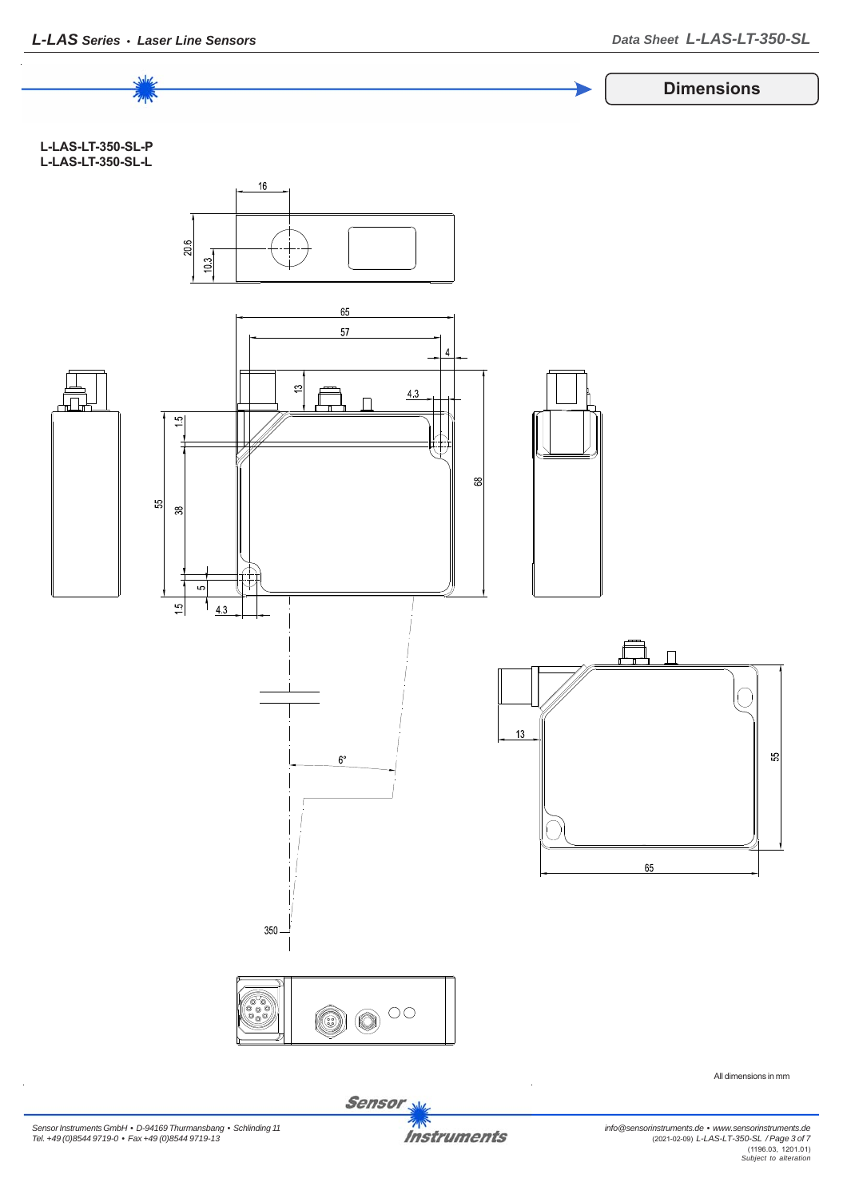

Sensor<sub>N</sub>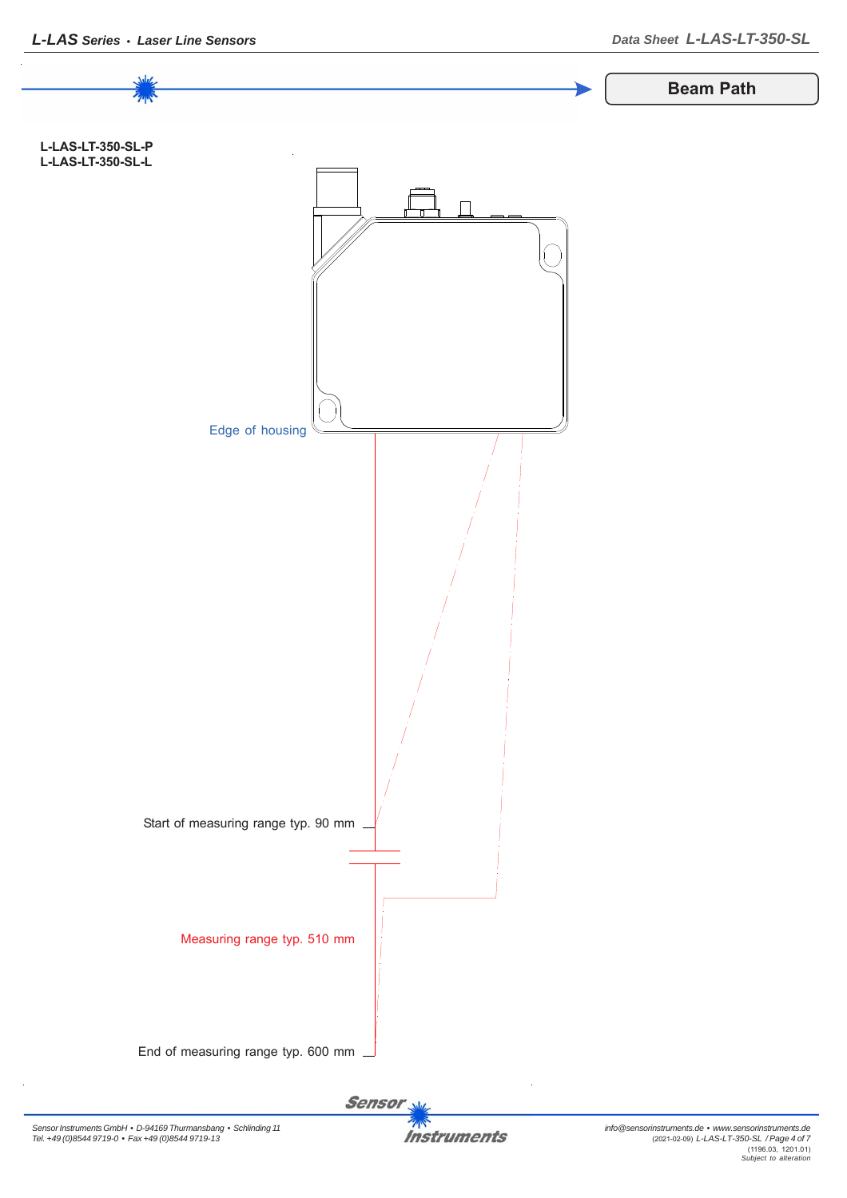

**Instruments**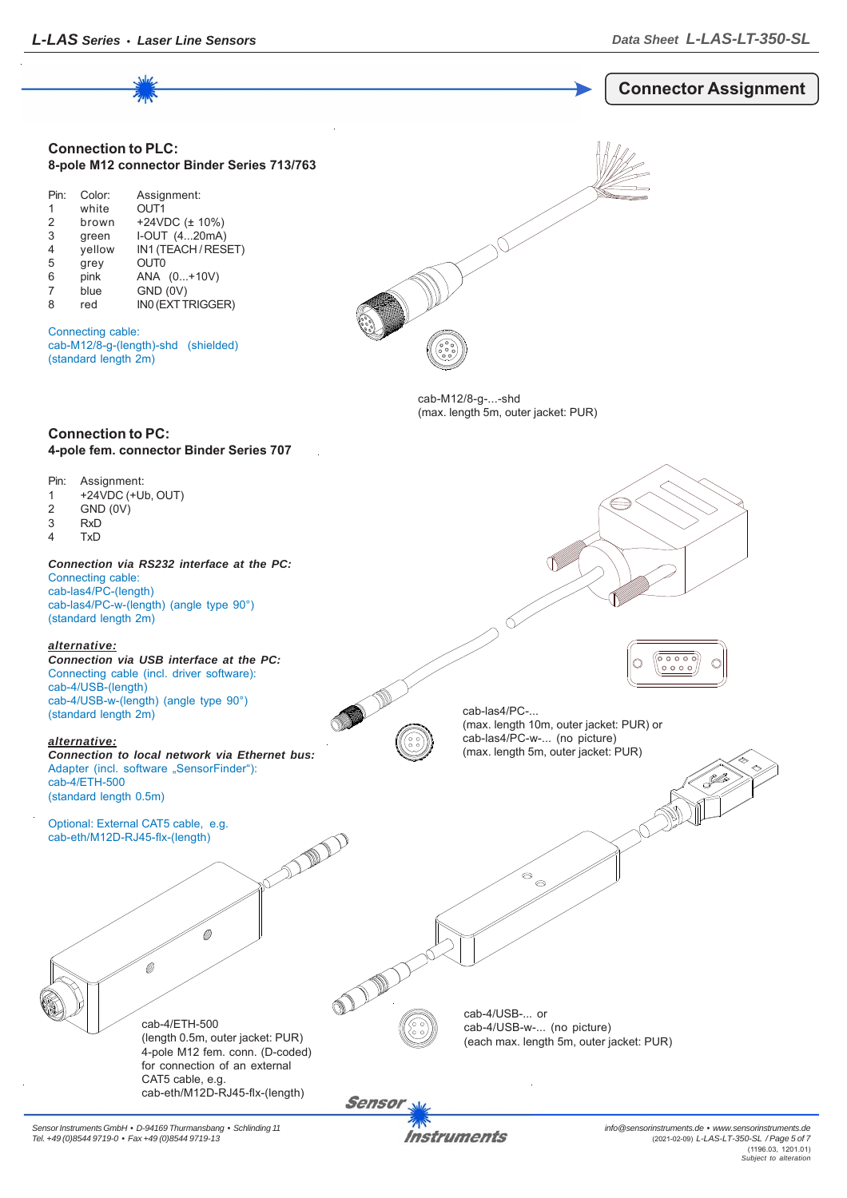

*Sensor Instruments GmbH • D-94169 Thurmansbang • Schlinding 11 Tel. +49 (0)8544 9719-0 • Fax +49 (0)8544 9719-13*

Instruments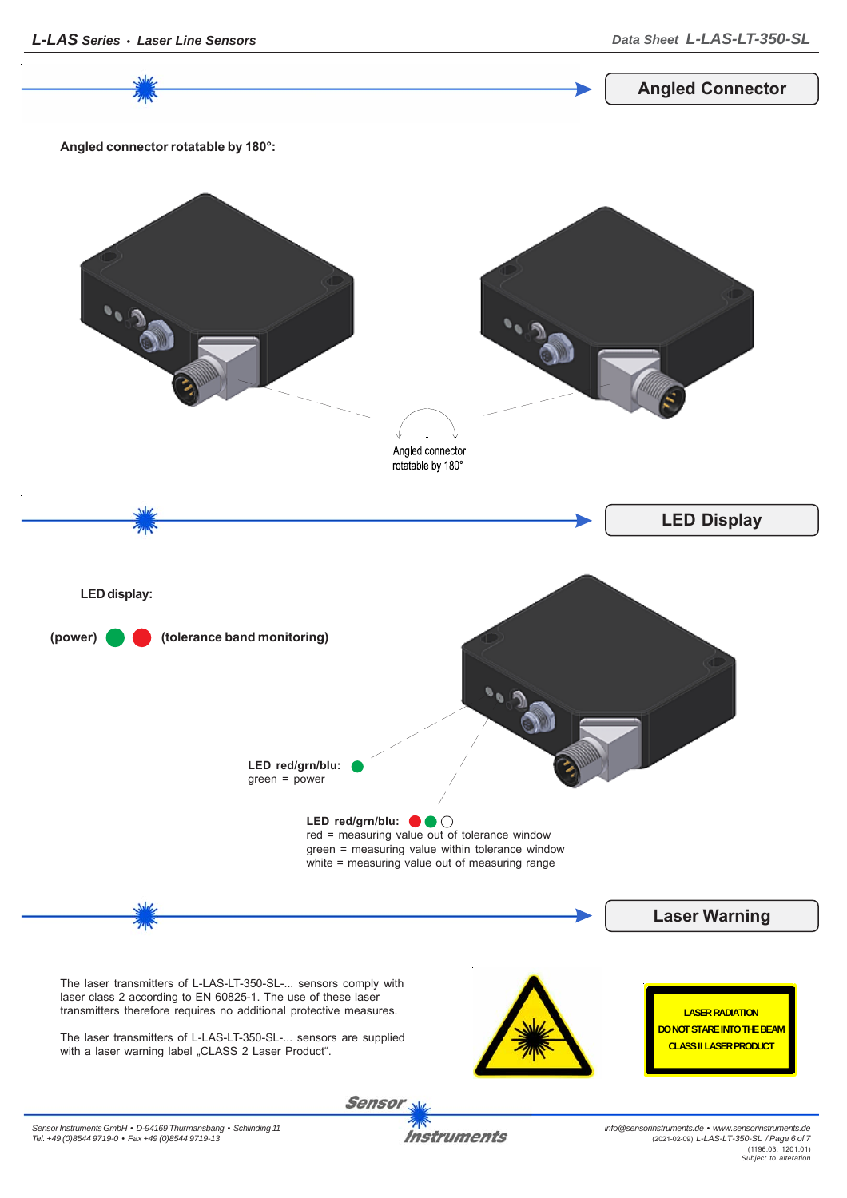Sensor

**Instruments**